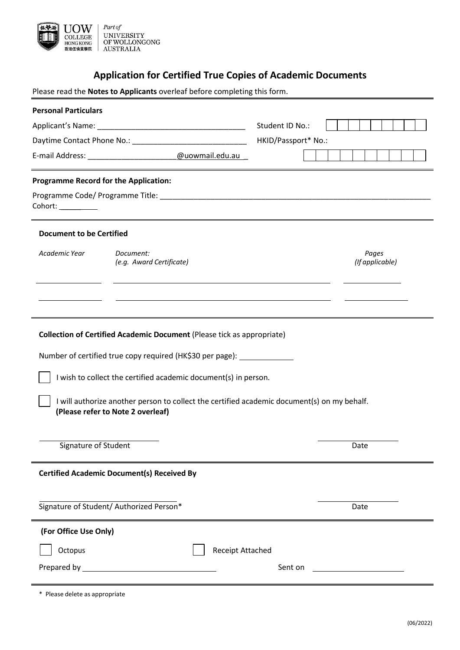

# **Application for Certified True Copies of Academic Documents**

Please read the **Notes to Applicants** overleaf before completing this form.

| <b>Personal Particulars</b>                                                                                                      |                                                                                                                      |                     |                          |
|----------------------------------------------------------------------------------------------------------------------------------|----------------------------------------------------------------------------------------------------------------------|---------------------|--------------------------|
|                                                                                                                                  |                                                                                                                      | Student ID No.:     |                          |
|                                                                                                                                  |                                                                                                                      | HKID/Passport* No.: |                          |
|                                                                                                                                  | E-mail Address: ______________________@uowmail.edu.au                                                                |                     |                          |
| <b>Programme Record for the Application:</b>                                                                                     |                                                                                                                      |                     |                          |
| Cohort: _________                                                                                                                | <u> 1989 - Johann Barn, amerikan bernama di sebagai bernama dan bernama di sebagai bernama dalam bernama dalam b</u> |                     |                          |
| <b>Document to be Certified</b>                                                                                                  |                                                                                                                      |                     |                          |
| Academic Year                                                                                                                    | Document:<br>(e.g. Award Certificate)                                                                                |                     | Pages<br>(If applicable) |
|                                                                                                                                  |                                                                                                                      |                     |                          |
| <b>Collection of Certified Academic Document (Please tick as appropriate)</b>                                                    |                                                                                                                      |                     |                          |
| Number of certified true copy required (HK\$30 per page): _______________                                                        |                                                                                                                      |                     |                          |
| I wish to collect the certified academic document(s) in person.                                                                  |                                                                                                                      |                     |                          |
| I will authorize another person to collect the certified academic document(s) on my behalf.<br>(Please refer to Note 2 overleaf) |                                                                                                                      |                     |                          |
| Signature of Student                                                                                                             |                                                                                                                      |                     | Date                     |
| <b>Certified Academic Document(s) Received By</b>                                                                                |                                                                                                                      |                     |                          |
| Signature of Student/ Authorized Person*                                                                                         |                                                                                                                      |                     | Date                     |
| (For Office Use Only)                                                                                                            |                                                                                                                      |                     |                          |
| <b>Receipt Attached</b><br>Octopus                                                                                               |                                                                                                                      |                     |                          |
| Sent on                                                                                                                          |                                                                                                                      |                     |                          |
|                                                                                                                                  |                                                                                                                      |                     |                          |

\* Please delete as appropriate